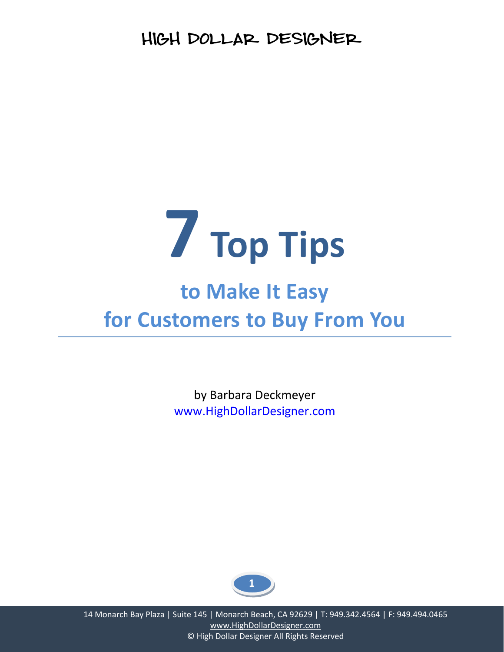

# **to Make It Easy for Customers to Buy From You**

by Barbara Deckmeyer www.HighDollarDesigner.com

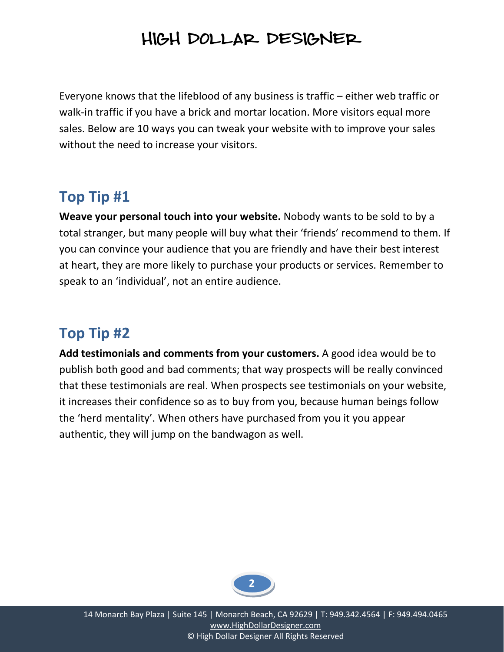Everyone knows that the lifeblood of any business is traffic – either web traffic or walk-in traffic if you have a brick and mortar location. More visitors equal more sales. Below are 10 ways you can tweak your website with to improve your sales without the need to increase your visitors.

### **Top Tip #1**

**Weave your personal touch into your website.** Nobody wants to be sold to by a total stranger, but many people will buy what their 'friends' recommend to them. If you can convince your audience that you are friendly and have their best interest at heart, they are more likely to purchase your products or services. Remember to speak to an 'individual', not an entire audience.

## **Top Tip #2**

**Add testimonials and comments from your customers.** A good idea would be to publish both good and bad comments; that way prospects will be really convinced that these testimonials are real. When prospects see testimonials on your website, it increases their confidence so as to buy from you, because human beings follow the 'herd mentality'. When others have purchased from you it you appear authentic, they will jump on the bandwagon as well.

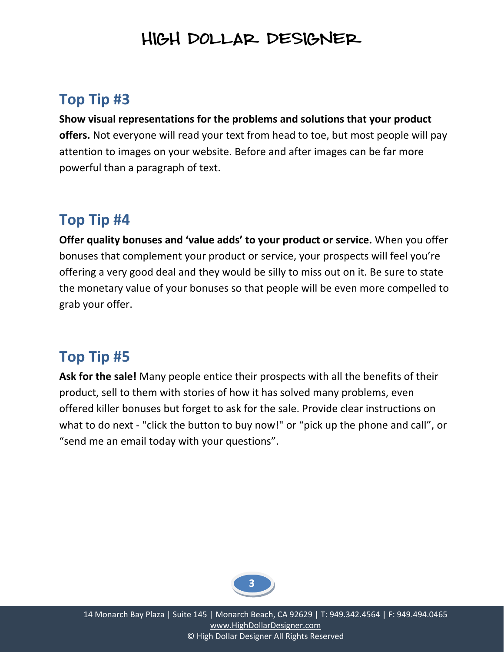## **Top Tip #3**

**Show visual representations for the problems and solutions that your product offers.** Not everyone will read your text from head to toe, but most people will pay attention to images on your website. Before and after images can be far more powerful than a paragraph of text.

### **Top Tip #4**

**Offer quality bonuses and 'value adds' to your product or service.** When you offer bonuses that complement your product or service, your prospects will feel you're offering a very good deal and they would be silly to miss out on it. Be sure to state the monetary value of your bonuses so that people will be even more compelled to grab your offer.

### **Top Tip #5**

**Ask for the sale!** Many people entice their prospects with all the benefits of their product, sell to them with stories of how it has solved many problems, even offered killer bonuses but forget to ask for the sale. Provide clear instructions on what to do next - "click the button to buy now!" or "pick up the phone and call", or "send me an email today with your questions".

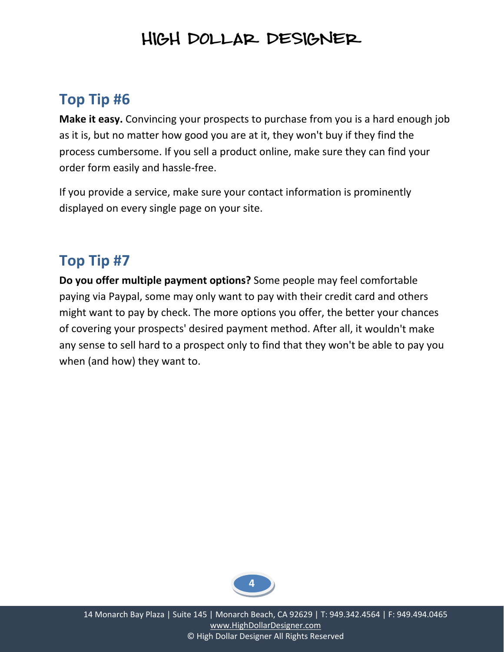### **Top Tip #6**

**Make it easy.** Convincing your prospects to purchase from you is a hard enough job as it is, but no matter how good you are at it, they won't buy if they find the process cumbersome. If you sell a product online, make sure they can find your order form easily and hassle‐free.

If you provide a service, make sure your contact information is prominently displayed on every single page on your site.

### **Top Tip #7**

**Do you offer multiple payment options?** Some people may feel comfortable paying via Paypal, some may only want to pay with their credit card and others might want to pay by check. The more options you offer, the better your chances of covering your prospects' desired payment method. After all, it wouldn't make any sense to sell hard to a prospect only to find that they won't be able to pay you when (and how) they want to.

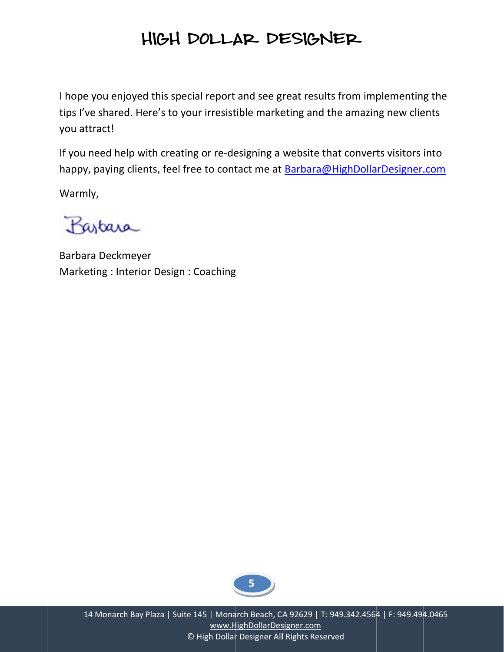I hope you enjoyed this special report and see great results from implementing the tips I've shared. Here's to your irresistible marketing and the amazing new clients you attract!

If you need help with creating or re-designing a website that converts visitors into happy, paying clients, feel free to contact me at Barbara@HighDollarDesigner.com

Warmly,

Partara

Barbara Deckmeyer Marketing: Interior Design: Coaching

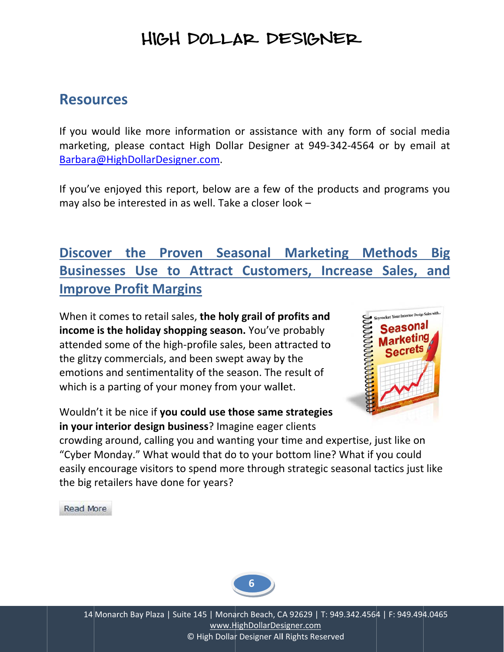#### **Resources**

If you would like more information or assistance with any form of social media marketing, please contact High Dollar Designer at 949-342-4564 or by email at Barbara@HighDollarDesigner.com.

If you've enjoyed this report, below are a few of the products and programs you may also be interested in as well. Take a closer look -

#### Discover the Proven Seasonal Marketing Methods **Big** Businesses Use to Attract Customers, Increase Sales, and **Improve Profit Margins**

When it comes to retail sales, the holy grail of profits and income is the holiday shopping season. You've probably attended some of the high-profile sales, been attracted to the glitzy commercials, and been swept away by the emotions and sentimentality of the season. The result of which is a parting of your money from your wallet.



Wouldn't it be nice if you could use those same strategies in your interior design business? Imagine eager clients

crowding around, calling you and wanting your time and expertise, just like on "Cyber Monday." What would that do to your bottom line? What if you could easily encourage visitors to spend more through strategic seasonal tactics just like the big retailers have done for years?

**Read More** 

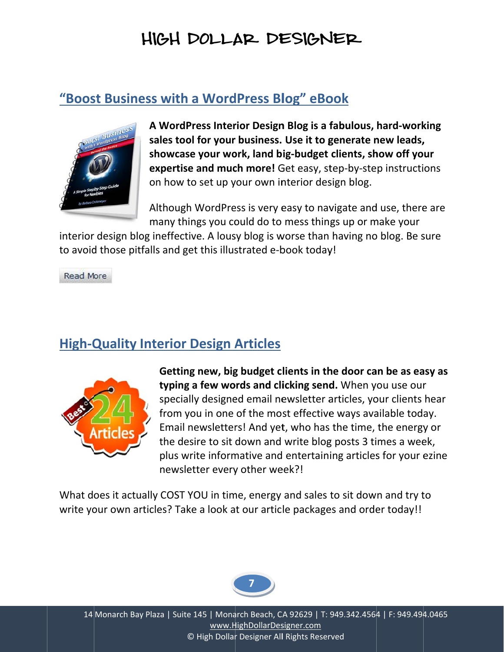#### "Boost Business with a WordPress Blog" eBook



A WordPress Interior Design Blog is a fabulous, hard-working sales tool for your business. Use it to generate new leads, showcase your work, land big-budget clients, show off your expertise and much more! Get easy, step-by-step instructions on how to set up your own interior design blog.

Although WordPress is very easy to navigate and use, there are many things you could do to mess things up or make your

interior design blog ineffective. A lousy blog is worse than having no blog. Be sure to avoid those pitfalls and get this illustrated e-book today!

Read More

#### **High-Quality Interior Design Articles**



Getting new, big budget clients in the door can be as easy as typing a few words and clicking send. When you use our specially designed email newsletter articles, your clients hear from you in one of the most effective ways available today. Email newsletters! And yet, who has the time, the energy or the desire to sit down and write blog posts 3 times a week, plus write informative and entertaining articles for your ezine newsletter every other week?!

What does it actually COST YOU in time, energy and sales to sit down and try to write your own articles? Take a look at our article packages and order today!!